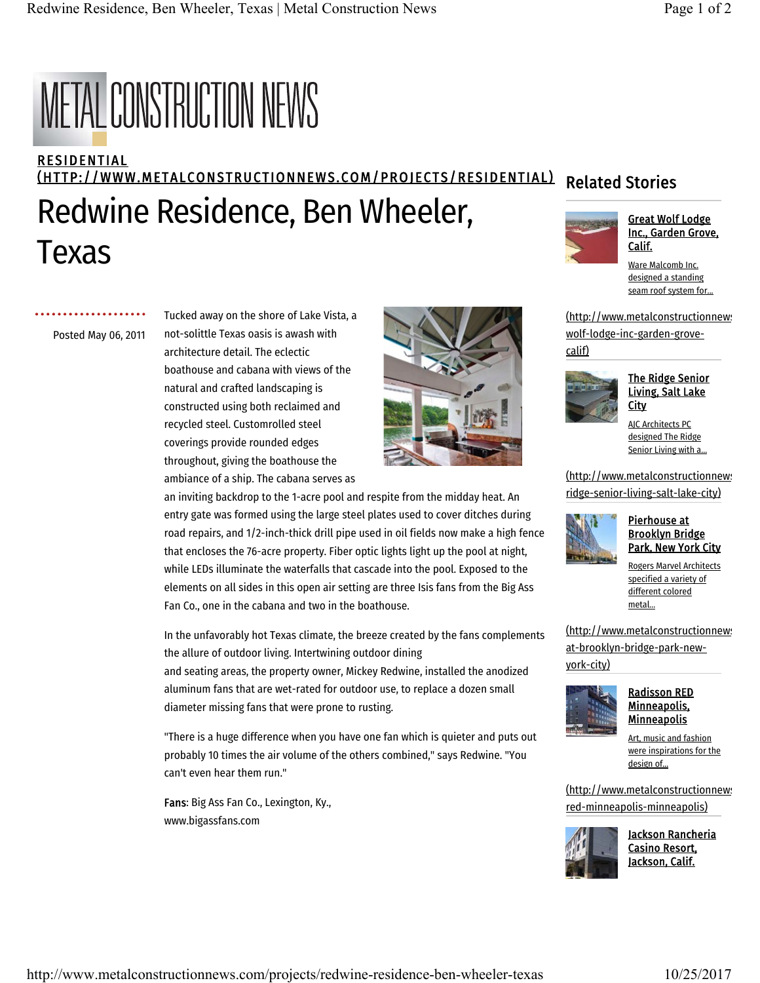# **METAL CONSTRUCTION NEWS**

### **RESIDENTIAL** (HTTP://WWW.METALCONSTRUCTIONNEWS.COM/PROJECTS/RESIDENTIAL) Redwine Residence, Ben Wheeler, Texas Related Stories Great Wolf Lodge Inc., Garden Grove, Calif. Ware Malcomb Inc.

. . . . . . . . . . . . . . . . Posted May 06, 2011 Tucked away on the shore of Lake Vista, a not-solittle Texas oasis is awash with architecture detail. The eclectic boathouse and cabana with views of the natural and crafted landscaping is constructed using both reclaimed and recycled steel. Customrolled steel coverings provide rounded edges throughout, giving the boathouse the ambiance of a ship. The cabana serves as



an inviting backdrop to the 1-acre pool and respite from the midday heat. An entry gate was formed using the large steel plates used to cover ditches during road repairs, and 1/2-inch-thick drill pipe used in oil fields now make a high fence that encloses the 76-acre property. Fiber optic lights light up the pool at night, while LEDs illuminate the waterfalls that cascade into the pool. Exposed to the elements on all sides in this open air setting are three Isis fans from the Big Ass Fan Co., one in the cabana and two in the boathouse.

In the unfavorably hot Texas climate, the breeze created by the fans complements the allure of outdoor living. Intertwining outdoor dining and seating areas, the property owner, Mickey Redwine, installed the anodized aluminum fans that are wet-rated for outdoor use, to replace a dozen small diameter missing fans that were prone to rusting.

"There is a huge difference when you have one fan which is quieter and puts out probably 10 times the air volume of the others combined," says Redwine. "You can't even hear them run."

Fans: Big Ass Fan Co., Lexington, Ky., www.bigassfans.com





# The Ridge Senior Living, Salt Lake **City**

designed a standing

AJC Architects PC designed The Ridge Senior Living with a...

(http://www.metalconstructionnews ridge-senior-living-salt-lake-city)



## Pierhouse at Brooklyn Bridge Park, New York City

Rogers Marvel Architects specified a variety of different colored metal...

(http://www.metalconstructionnews) at-brooklyn-bridge-park-newyork-city)



### Radisson RED Minneapolis, **Minneapolis**

Art, music and fashion were inspirations for the design of...

(http://www.metalconstructionnews) red-minneapolis-minneapolis)



Jackson Rancheria Casino Resort, Jackson, Calif.